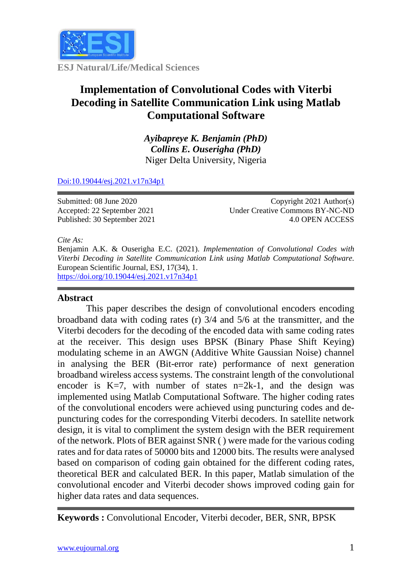

**ESJ Natural/Life/Medical Sciences**

# **Implementation of Convolutional Codes with Viterbi Decoding in Satellite Communication Link using Matlab Computational Software**

*Ayibapreye K. Benjamin (PhD) Collins E. Ouserigha (PhD)* Niger Delta University, Nigeria

# [Doi:10.19044/esj.2021.v17n34p1](https://doi.org/10.19044/esj.2021.v17n29p1)

Submitted: 08 June 2020 Accepted: 22 September 2021 Published: 30 September 2021

Copyright 2021 Author(s) Under Creative Commons BY-NC-ND 4.0 OPEN ACCESS

*Cite As:*

Benjamin A.K. & Ouserigha E.C. (2021). *Implementation of Convolutional Codes with Viterbi Decoding in Satellite Communication Link using Matlab Computational Software.* European Scientific Journal, ESJ, 17(34), 1. [https://doi.org/10.19044/esj.2021.v17n34p1](https://doi.org/10.19044/esj.2021.v34n29p1)

# **Abstract**

This paper describes the design of convolutional encoders encoding broadband data with coding rates (r) 3/4 and 5/6 at the transmitter, and the Viterbi decoders for the decoding of the encoded data with same coding rates at the receiver. This design uses BPSK (Binary Phase Shift Keying) modulating scheme in an AWGN (Additive White Gaussian Noise) channel in analysing the BER (Bit-error rate) performance of next generation broadband wireless access systems. The constraint length of the convolutional encoder is K=7, with number of states  $n=2k-1$ , and the design was implemented using Matlab Computational Software. The higher coding rates of the convolutional encoders were achieved using puncturing codes and depuncturing codes for the corresponding Viterbi decoders. In satellite network design, it is vital to compliment the system design with the BER requirement of the network. Plots of BER against SNR ( ) were made for the various coding rates and for data rates of 50000 bits and 12000 bits. The results were analysed based on comparison of coding gain obtained for the different coding rates, theoretical BER and calculated BER. In this paper, Matlab simulation of the convolutional encoder and Viterbi decoder shows improved coding gain for higher data rates and data sequences.

**Keywords :** Convolutional Encoder, Viterbi decoder, BER, SNR, BPSK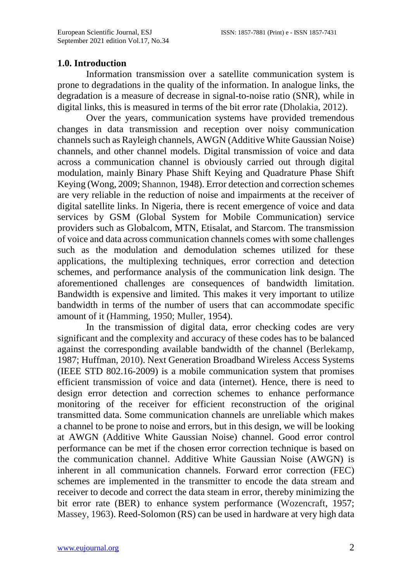# **1.0. Introduction**

Information transmission over a satellite communication system is prone to degradations in the quality of the information. In analogue links, the degradation is a measure of decrease in signal-to-noise ratio (SNR), while in digital links, this is measured in terms of the bit error rate (Dholakia, 2012).

Over the years, communication systems have provided tremendous changes in data transmission and reception over noisy communication channels such as Rayleigh channels, AWGN (Additive White Gaussian Noise) channels, and other channel models. Digital transmission of voice and data across a communication channel is obviously carried out through digital modulation, mainly Binary Phase Shift Keying and Quadrature Phase Shift Keying (Wong, 2009; Shannon, 1948). Error detection and correction schemes are very reliable in the reduction of noise and impairments at the receiver of digital satellite links. In Nigeria, there is recent emergence of voice and data services by GSM (Global System for Mobile Communication) service providers such as Globalcom, MTN, Etisalat, and Starcom. The transmission of voice and data across communication channels comes with some challenges such as the modulation and demodulation schemes utilized for these applications, the multiplexing techniques, error correction and detection schemes, and performance analysis of the communication link design. The aforementioned challenges are consequences of bandwidth limitation. Bandwidth is expensive and limited. This makes it very important to utilize bandwidth in terms of the number of users that can accommodate specific amount of it (Hamming, 1950; Muller, 1954).

In the transmission of digital data, error checking codes are very significant and the complexity and accuracy of these codes has to be balanced against the corresponding available bandwidth of the channel (Berlekamp, 1987; Huffman, 2010). Next Generation Broadband Wireless Access Systems (IEEE STD 802.16-2009) is a mobile communication system that promises efficient transmission of voice and data (internet). Hence, there is need to design error detection and correction schemes to enhance performance monitoring of the receiver for efficient reconstruction of the original transmitted data. Some communication channels are unreliable which makes a channel to be prone to noise and errors, but in this design, we will be looking at AWGN (Additive White Gaussian Noise) channel. Good error control performance can be met if the chosen error correction technique is based on the communication channel. Additive White Gaussian Noise (AWGN) is inherent in all communication channels. Forward error correction (FEC) schemes are implemented in the transmitter to encode the data stream and receiver to decode and correct the data steam in error, thereby minimizing the bit error rate (BER) to enhance system performance (Wozencraft, 1957; Massey, 1963). Reed-Solomon (RS) can be used in hardware at very high data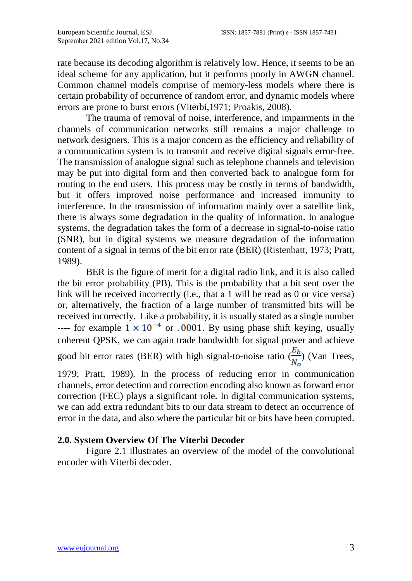rate because its decoding algorithm is relatively low. Hence, it seems to be an ideal scheme for any application, but it performs poorly in AWGN channel. Common channel models comprise of memory-less models where there is certain probability of occurrence of random error, and dynamic models where errors are prone to burst errors (Viterbi,1971; Proakis, 2008).

The trauma of removal of noise, interference, and impairments in the channels of communication networks still remains a major challenge to network designers. This is a major concern as the efficiency and reliability of a communication system is to transmit and receive digital signals error-free. The transmission of analogue signal such as telephone channels and television may be put into digital form and then converted back to analogue form for routing to the end users. This process may be costly in terms of bandwidth, but it offers improved noise performance and increased immunity to interference. In the transmission of information mainly over a satellite link, there is always some degradation in the quality of information. In analogue systems, the degradation takes the form of a decrease in signal-to-noise ratio (SNR), but in digital systems we measure degradation of the information content of a signal in terms of the bit error rate (BER) (Ristenbatt, 1973; Pratt, 1989).

BER is the figure of merit for a digital radio link, and it is also called the bit error probability (PB). This is the probability that a bit sent over the link will be received incorrectly (i.e., that a 1 will be read as 0 or vice versa) or, alternatively, the fraction of a large number of transmitted bits will be received incorrectly. Like a probability, it is usually stated as a single number ---- for example  $1 \times 10^{-4}$  or .0001. By using phase shift keying, usually coherent QPSK, we can again trade bandwidth for signal power and achieve good bit error rates (BER) with high signal-to-noise ratio  $(\frac{E_b}{N})$  (Van Trees,

1979; Pratt, 1989). In the process of reducing error in communication channels, error detection and correction encoding also known as forward error correction (FEC) plays a significant role. In digital communication systems, we can add extra redundant bits to our data stream to detect an occurrence of error in the data, and also where the particular bit or bits have been corrupted.

# **2.0. System Overview Of The Viterbi Decoder**

Figure 2.1 illustrates an overview of the model of the convolutional encoder with Viterbi decoder.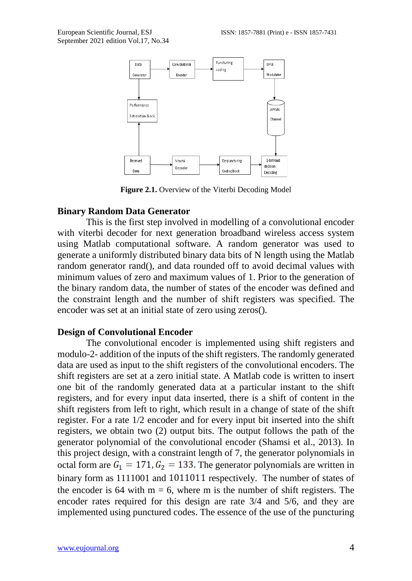

**Figure 2.1.** Overview of the Viterbi Decoding Model

#### **Binary Random Data Generator**

This is the first step involved in modelling of a convolutional encoder with viterbi decoder for next generation broadband wireless access system using Matlab computational software. A random generator was used to generate a uniformly distributed binary data bits of N length using the Matlab random generator rand(), and data rounded off to avoid decimal values with minimum values of zero and maximum values of 1. Prior to the generation of the binary random data, the number of states of the encoder was defined and the constraint length and the number of shift registers was specified. The encoder was set at an initial state of zero using zeros().

#### **Design of Convolutional Encoder**

The convolutional encoder is implemented using shift registers and modulo-2- addition of the inputs of the shift registers. The randomly generated data are used as input to the shift registers of the convolutional encoders. The shift registers are set at a zero initial state. A Matlab code is written to insert one bit of the randomly generated data at a particular instant to the shift registers, and for every input data inserted, there is a shift of content in the shift registers from left to right, which result in a change of state of the shift register. For a rate 1/2 encoder and for every input bit inserted into the shift registers, we obtain two (2) output bits. The output follows the path of the generator polynomial of the convolutional encoder (Shamsi et al., 2013). In this project design, with a constraint length of 7, the generator polynomials in octal form are  $G_1 = 171, G_2 = 133$ . The generator polynomials are written in binary form as 1111001 and 1011011 respectively. The number of states of the encoder is 64 with  $m = 6$ , where m is the number of shift registers. The encoder rates required for this design are rate 3/4 and 5/6, and they are implemented using punctured codes. The essence of the use of the puncturing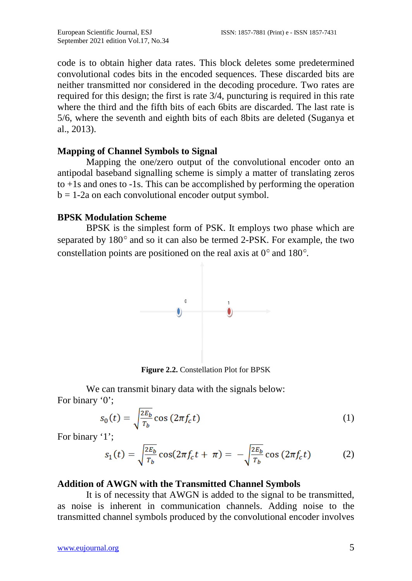code is to obtain higher data rates. This block deletes some predetermined convolutional codes bits in the encoded sequences. These discarded bits are neither transmitted nor considered in the decoding procedure. Two rates are required for this design; the first is rate 3/4, puncturing is required in this rate where the third and the fifth bits of each 6bits are discarded. The last rate is 5/6, where the seventh and eighth bits of each 8bits are deleted (Suganya et al., 2013).

#### **Mapping of Channel Symbols to Signal**

Mapping the one/zero output of the convolutional encoder onto an antipodal baseband signalling scheme is simply a matter of translating zeros to +1s and ones to -1s. This can be accomplished by performing the operation  $b = 1-2a$  on each convolutional encoder output symbol.

#### **BPSK Modulation Scheme**

BPSK is the simplest form of PSK. It employs two phase which are separated by  $180^\circ$  and so it can also be termed 2-PSK. For example, the two constellation points are positioned on the real axis at  $0^{\circ}$  and 180 $^{\circ}$ .



**Figure 2.2.** Constellation Plot for BPSK

We can transmit binary data with the signals below: For binary '0';

$$
s_0(t) = \sqrt{\frac{2E_b}{T_b}} \cos\left(2\pi f_c t\right) \tag{1}
$$

For binary '1';

$$
s_1(t) = \sqrt{\frac{2E_b}{T_b}} \cos(2\pi f_c t + \pi) = -\sqrt{\frac{2E_b}{T_b}} \cos(2\pi f_c t)
$$
 (2)

#### **Addition of AWGN with the Transmitted Channel Symbols**

It is of necessity that AWGN is added to the signal to be transmitted, as noise is inherent in communication channels. Adding noise to the transmitted channel symbols produced by the convolutional encoder involves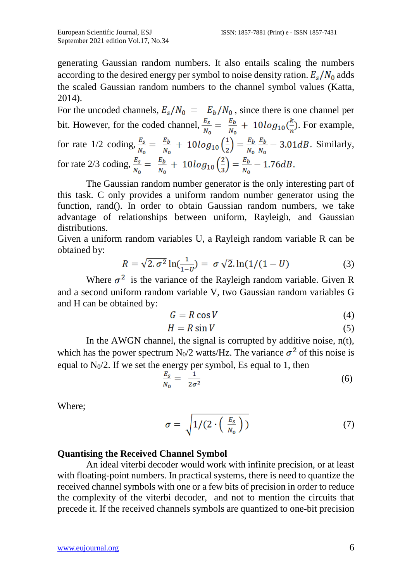generating Gaussian random numbers. It also entails scaling the numbers according to the desired energy per symbol to noise density ration.  $E_s/N_0$  adds the scaled Gaussian random numbers to the channel symbol values (Katta, 2014).

For the uncoded channels,  $E_s/N_0 = E_b/N_0$ , since there is one channel per bit. However, for the coded channel,  $\frac{E_s}{N_o} = \frac{E_b}{N_o} + 10log_{10}(\frac{k}{n})$ . For example, for rate 1/2 coding,  $\frac{E_s}{N_0} = \frac{E_b}{N_0} + 10 \log_{10} \left(\frac{1}{2}\right) = \frac{E_b}{N_0} \frac{E_b}{N_0} - 3.01 dB$ . Similarly, for rate 2/3 coding,  $\frac{E_s}{N_0} = \frac{E_b}{N_0} + 10log_{10}(\frac{2}{3}) = \frac{E_b}{N_0} - 1.76dB$ .

The Gaussian random number generator is the only interesting part of this task. C only provides a uniform random number generator using the function, rand(). In order to obtain Gaussian random numbers, we take advantage of relationships between uniform, Rayleigh, and Gaussian distributions.

Given a uniform random variables U, a Rayleigh random variable R can be obtained by:

$$
R = \sqrt{2 \cdot \sigma^2} \ln(\frac{1}{1 - v}) = \sigma \sqrt{2} \cdot \ln(1/(1 - U) \tag{3}
$$

Where  $\sigma^2$  is the variance of the Rayleigh random variable. Given R and a second uniform random variable V, two Gaussian random variables G and H can be obtained by:

$$
G = R \cos V \tag{4}
$$

$$
H = R \sin V \tag{5}
$$

In the AWGN channel, the signal is corrupted by additive noise,  $n(t)$ , which has the power spectrum N<sub>0</sub>/2 watts/Hz. The variance  $\sigma^2$  of this noise is equal to  $N_0/2$ . If we set the energy per symbol, Es equal to 1, then

$$
\frac{E_s}{N_0} = \frac{1}{2\sigma^2} \tag{6}
$$

Where;

$$
\sigma = \sqrt{1/(2 \cdot \left(\frac{E_s}{N_0}\right))} \tag{7}
$$

#### **Quantising the Received Channel Symbol**

An ideal viterbi decoder would work with infinite precision, or at least with floating-point numbers. In practical systems, there is need to quantize the received channel symbols with one or a few bits of precision in order to reduce the complexity of the viterbi decoder, and not to mention the circuits that precede it. If the received channels symbols are quantized to one-bit precision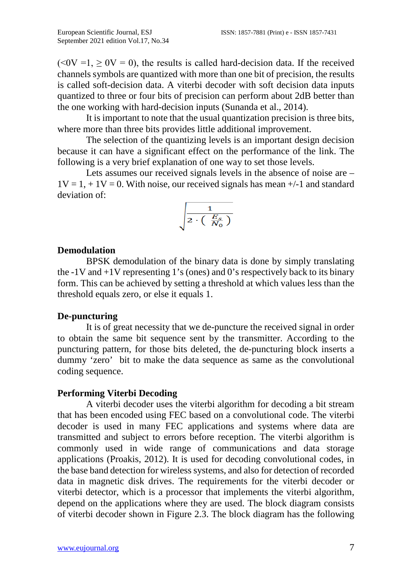$(*0*V = 1,  $\geq$  *0*V = 0), the results is called hard-decision data. If the received$ channels symbols are quantized with more than one bit of precision, the results is called soft-decision data. A viterbi decoder with soft decision data inputs quantized to three or four bits of precision can perform about 2dB better than the one working with hard-decision inputs (Sunanda et al., 2014).

It is important to note that the usual quantization precision is three bits, where more than three bits provides little additional improvement.

The selection of the quantizing levels is an important design decision because it can have a significant effect on the performance of the link. The following is a very brief explanation of one way to set those levels.

Lets assumes our received signals levels in the absence of noise are –  $1V = 1, +1V = 0$ . With noise, our received signals has mean  $+/-1$  and standard deviation of:

$$
\sqrt{\frac{1}{2\cdot \left(\begin{array}{c} E_s \\ \overline{N}_0 \end{array}\right)}}
$$

#### **Demodulation**

BPSK demodulation of the binary data is done by simply translating the  $-1V$  and  $+1V$  representing 1's (ones) and 0's respectively back to its binary form. This can be achieved by setting a threshold at which values less than the threshold equals zero, or else it equals 1.

#### **De-puncturing**

It is of great necessity that we de-puncture the received signal in order to obtain the same bit sequence sent by the transmitter. According to the puncturing pattern, for those bits deleted, the de-puncturing block inserts a dummy 'zero' bit to make the data sequence as same as the convolutional coding sequence.

#### **Performing Viterbi Decoding**

A viterbi decoder uses the viterbi algorithm for decoding a bit stream that has been encoded using FEC based on a convolutional code. The viterbi decoder is used in many FEC applications and systems where data are transmitted and subject to errors before reception. The viterbi algorithm is commonly used in wide range of communications and data storage applications (Proakis, 2012). It is used for decoding convolutional codes, in the base band detection for wireless systems, and also for detection of recorded data in magnetic disk drives. The requirements for the viterbi decoder or viterbi detector, which is a processor that implements the viterbi algorithm, depend on the applications where they are used. The block diagram consists of viterbi decoder shown in Figure 2.3. The block diagram has the following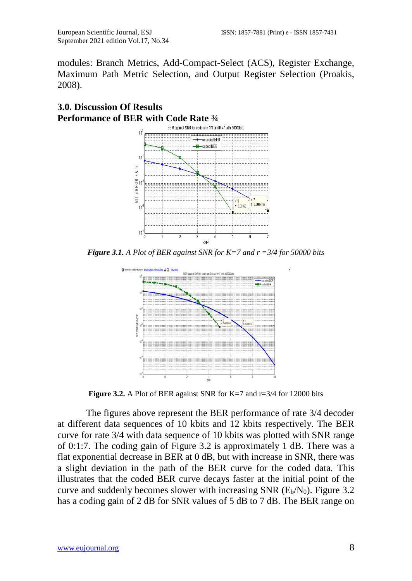modules: Branch Metrics, Add-Compact-Select (ACS), Register Exchange, Maximum Path Metric Selection, and Output Register Selection (Proakis, 2008).



# **3.0. Discussion Of Results Performance of BER with Code Rate**  $\frac{3}{4}$

*Figure 3.1. A Plot of BER against SNR for K=7 and r =3/4 for 50000 bits*



**Figure 3.2.** A Plot of BER against SNR for K=7 and r=3/4 for 12000 bits

The figures above represent the BER performance of rate 3/4 decoder at different data sequences of 10 kbits and 12 kbits respectively. The BER curve for rate 3/4 with data sequence of 10 kbits was plotted with SNR range of 0:1:7. The coding gain of Figure 3.2 is approximately 1 dB. There was a flat exponential decrease in BER at 0 dB, but with increase in SNR, there was a slight deviation in the path of the BER curve for the coded data. This illustrates that the coded BER curve decays faster at the initial point of the curve and suddenly becomes slower with increasing SNR  $(E_b/N_0)$ . Figure 3.2 has a coding gain of 2 dB for SNR values of 5 dB to 7 dB. The BER range on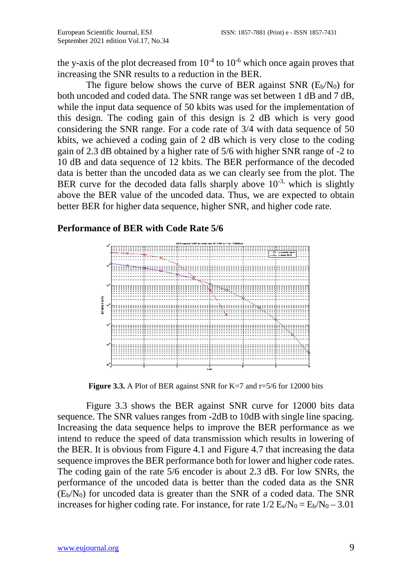the y-axis of the plot decreased from  $10^{-4}$  to  $10^{-6}$  which once again proves that increasing the SNR results to a reduction in the BER.

The figure below shows the curve of BER against SNR  $(E_b/N_0)$  for both uncoded and coded data. The SNR range was set between 1 dB and 7 dB, while the input data sequence of 50 kbits was used for the implementation of this design. The coding gain of this design is 2 dB which is very good considering the SNR range. For a code rate of 3/4 with data sequence of 50 kbits, we achieved a coding gain of 2 dB which is very close to the coding gain of 2.3 dB obtained by a higher rate of 5/6 with higher SNR range of -2 to 10 dB and data sequence of 12 kbits. The BER performance of the decoded data is better than the uncoded data as we can clearly see from the plot. The BER curve for the decoded data falls sharply above  $10^{-3}$ , which is slightly above the BER value of the uncoded data. Thus, we are expected to obtain better BER for higher data sequence, higher SNR, and higher code rate.

# **Performance of BER with Code Rate 5/6**



**Figure 3.3.** A Plot of BER against SNR for K=7 and r=5/6 for 12000 bits

Figure 3.3 shows the BER against SNR curve for 12000 bits data sequence. The SNR values ranges from -2dB to 10dB with single line spacing. Increasing the data sequence helps to improve the BER performance as we intend to reduce the speed of data transmission which results in lowering of the BER. It is obvious from Figure 4.1 and Figure 4.7 that increasing the data sequence improves the BER performance both for lower and higher code rates. The coding gain of the rate 5/6 encoder is about 2.3 dB. For low SNRs, the performance of the uncoded data is better than the coded data as the SNR  $(E_b/N_0)$  for uncoded data is greater than the SNR of a coded data. The SNR increases for higher coding rate. For instance, for rate  $1/2$  E<sub>s</sub>/N<sub>0</sub> = E<sub>b</sub>/N<sub>0</sub> - 3.01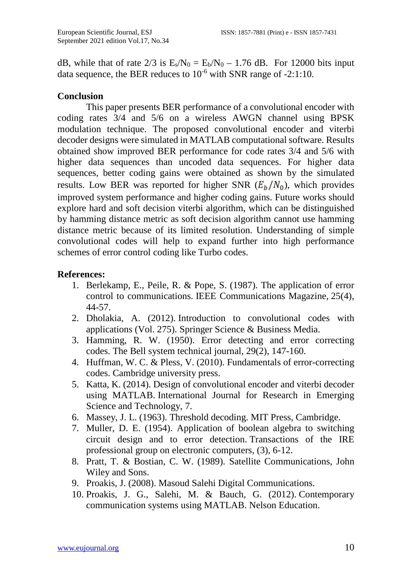dB, while that of rate  $2/3$  is  $E_s/N_0 = E_b/N_0 - 1.76$  dB. For 12000 bits input data sequence, the BER reduces to  $10^{-6}$  with SNR range of  $-2:1:10$ .

# **Conclusion**

This paper presents BER performance of a convolutional encoder with coding rates 3/4 and 5/6 on a wireless AWGN channel using BPSK modulation technique. The proposed convolutional encoder and viterbi decoder designs were simulated in MATLAB computational software. Results obtained show improved BER performance for code rates 3/4 and 5/6 with higher data sequences than uncoded data sequences. For higher data sequences, better coding gains were obtained as shown by the simulated results. Low BER was reported for higher SNR  $(E_b/N_0)$ , which provides improved system performance and higher coding gains. Future works should explore hard and soft decision viterbi algorithm, which can be distinguished by hamming distance metric as soft decision algorithm cannot use hamming distance metric because of its limited resolution. Understanding of simple convolutional codes will help to expand further into high performance schemes of error control coding like Turbo codes.

# **References:**

- 1. Berlekamp, E., Peile, R. & Pope, S. (1987). The application of error control to communications. IEEE Communications Magazine, 25(4), 44-57.
- 2. Dholakia, A. (2012). Introduction to convolutional codes with applications (Vol. 275). Springer Science & Business Media.
- 3. Hamming, R. W. (1950). Error detecting and error correcting codes. The Bell system technical journal, 29(2), 147-160.
- 4. Huffman, W. C. & Pless, V. (2010). Fundamentals of error-correcting codes. Cambridge university press.
- 5. Katta, K. (2014). Design of convolutional encoder and viterbi decoder using MATLAB. International Journal for Research in Emerging Science and Technology, 7.
- 6. Massey, J. L. (1963). Threshold decoding. MIT Press, Cambridge.
- 7. Muller, D. E. (1954). Application of boolean algebra to switching circuit design and to error detection. Transactions of the IRE professional group on electronic computers, (3), 6-12.
- 8. Pratt, T. & Bostian, C. W. (1989). Satellite Communications, John Wiley and Sons.
- 9. Proakis, J. (2008). Masoud Salehi Digital Communications.
- 10. Proakis, J. G., Salehi, M. & Bauch, G. (2012). Contemporary communication systems using MATLAB. Nelson Education.